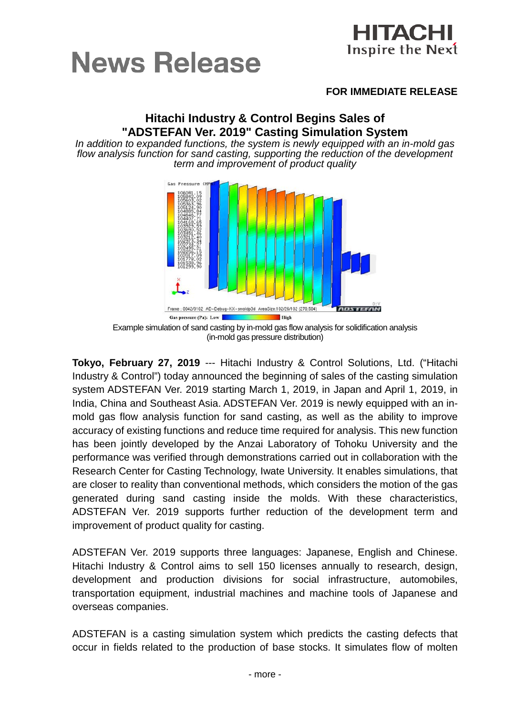



### **FOR IMMEDIATE RELEASE**

# **Hitachi Industry & Control Begins Sales of "ADSTEFAN Ver. 2019" Casting Simulation System**

*In addition to expanded functions, the system is newly equipped with an in-mold gas flow analysis function for sand casting, supporting the reduction of the development term and improvement of product quality*



Example simulation of sand casting by in-mold gas flow analysis for solidification analysis (in-mold gas pressure distribution)

**Tokyo, February 27, 2019** --- Hitachi Industry & Control Solutions, Ltd. ("Hitachi Industry & Control") today announced the beginning of sales of the casting simulation system ADSTEFAN Ver. 2019 starting March 1, 2019, in Japan and April 1, 2019, in India, China and Southeast Asia. ADSTEFAN Ver. 2019 is newly equipped with an inmold gas flow analysis function for sand casting, as well as the ability to improve accuracy of existing functions and reduce time required for analysis. This new function has been jointly developed by the Anzai Laboratory of Tohoku University and the performance was verified through demonstrations carried out in collaboration with the Research Center for Casting Technology, Iwate University. It enables simulations, that are closer to reality than conventional methods, which considers the motion of the gas generated during sand casting inside the molds. With these characteristics, ADSTEFAN Ver. 2019 supports further reduction of the development term and improvement of product quality for casting.

ADSTEFAN Ver. 2019 supports three languages: Japanese, English and Chinese. Hitachi Industry & Control aims to sell 150 licenses annually to research, design, development and production divisions for social infrastructure, automobiles, transportation equipment, industrial machines and machine tools of Japanese and overseas companies.

ADSTEFAN is a casting simulation system which predicts the casting defects that occur in fields related to the production of base stocks. It simulates flow of molten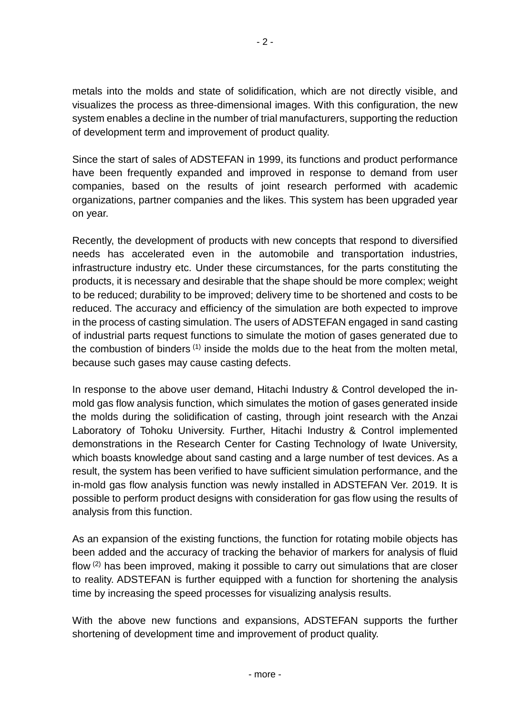metals into the molds and state of solidification, which are not directly visible, and visualizes the process as three-dimensional images. With this configuration, the new system enables a decline in the number of trial manufacturers, supporting the reduction of development term and improvement of product quality.

Since the start of sales of ADSTEFAN in 1999, its functions and product performance have been frequently expanded and improved in response to demand from user companies, based on the results of joint research performed with academic organizations, partner companies and the likes. This system has been upgraded year on year.

Recently, the development of products with new concepts that respond to diversified needs has accelerated even in the automobile and transportation industries, infrastructure industry etc. Under these circumstances, for the parts constituting the products, it is necessary and desirable that the shape should be more complex; weight to be reduced; durability to be improved; delivery time to be shortened and costs to be reduced. The accuracy and efficiency of the simulation are both expected to improve in the process of casting simulation. The users of ADSTEFAN engaged in sand casting of industrial parts request functions to simulate the motion of gases generated due to the combustion of binders  $(1)$  inside the molds due to the heat from the molten metal, because such gases may cause casting defects.

In response to the above user demand, Hitachi Industry & Control developed the inmold gas flow analysis function, which simulates the motion of gases generated inside the molds during the solidification of casting, through joint research with the Anzai Laboratory of Tohoku University. Further, Hitachi Industry & Control implemented demonstrations in the Research Center for Casting Technology of Iwate University, which boasts knowledge about sand casting and a large number of test devices. As a result, the system has been verified to have sufficient simulation performance, and the in-mold gas flow analysis function was newly installed in ADSTEFAN Ver. 2019. It is possible to perform product designs with consideration for gas flow using the results of analysis from this function.

As an expansion of the existing functions, the function for rotating mobile objects has been added and the accuracy of tracking the behavior of markers for analysis of fluid flow (2) has been improved, making it possible to carry out simulations that are closer to reality. ADSTEFAN is further equipped with a function for shortening the analysis time by increasing the speed processes for visualizing analysis results.

With the above new functions and expansions, ADSTEFAN supports the further shortening of development time and improvement of product quality.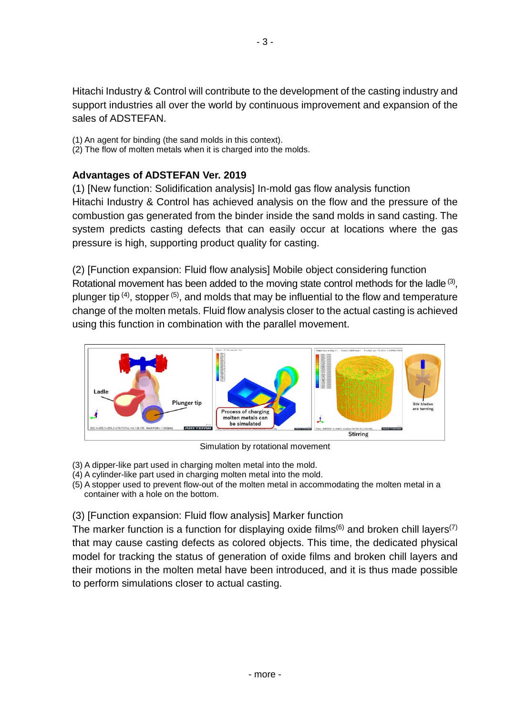Hitachi Industry & Control will contribute to the development of the casting industry and support industries all over the world by continuous improvement and expansion of the sales of ADSTEFAN.

- (1) An agent for binding (the sand molds in this context).
- (2) The flow of molten metals when it is charged into the molds.

# **Advantages of ADSTEFAN Ver. 2019**

(1) [New function: Solidification analysis] In-mold gas flow analysis function Hitachi Industry & Control has achieved analysis on the flow and the pressure of the combustion gas generated from the binder inside the sand molds in sand casting. The system predicts casting defects that can easily occur at locations where the gas pressure is high, supporting product quality for casting.

(2) [Function expansion: Fluid flow analysis] Mobile object considering function Rotational movement has been added to the moving state control methods for the ladle  $(3)$ , plunger tip <sup>(4)</sup>, stopper <sup>(5)</sup>, and molds that may be influential to the flow and temperature change of the molten metals. Fluid flow analysis closer to the actual casting is achieved using this function in combination with the parallel movement.



Simulation by rotational movement

- (3) A dipper-like part used in charging molten metal into the mold.
- (4) A cylinder-like part used in charging molten metal into the mold.
- (5) A stopper used to prevent flow-out of the molten metal in accommodating the molten metal in a container with a hole on the bottom.
- (3) [Function expansion: Fluid flow analysis] Marker function

The marker function is a function for displaying oxide films<sup> $(6)$ </sup> and broken chill layers<sup>(7)</sup> that may cause casting defects as colored objects. This time, the dedicated physical model for tracking the status of generation of oxide films and broken chill layers and their motions in the molten metal have been introduced, and it is thus made possible to perform simulations closer to actual casting.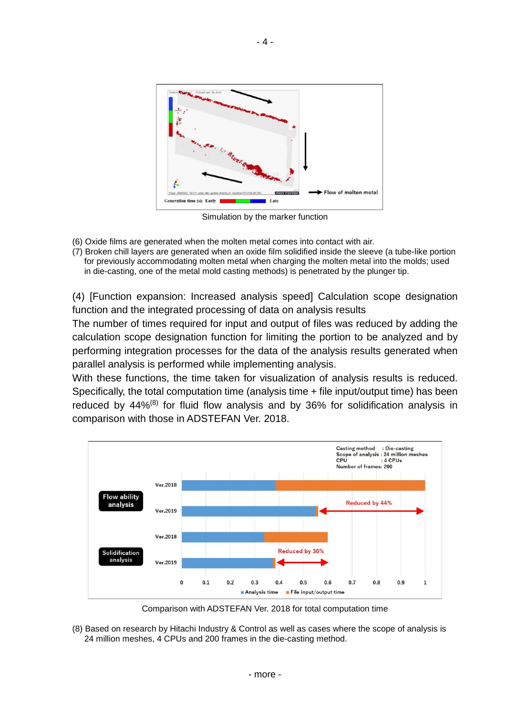

Simulation by the marker function

- (6) Oxide films are generated when the molten metal comes into contact with air.
- (7) Broken chill layers are generated when an oxide film solidified inside the sleeve (a tube-like portion for previously accommodating molten metal when charging the molten metal into the molds; used in die-casting, one of the metal mold casting methods) is penetrated by the plunger tip.

(4) [Function expansion: Increased analysis speed] Calculation scope designation function and the integrated processing of data on analysis results

The number of times required for input and output of files was reduced by adding the calculation scope designation function for limiting the portion to be analyzed and by performing integration processes for the data of the analysis results generated when parallel analysis is performed while implementing analysis.

With these functions, the time taken for visualization of analysis results is reduced. Specifically, the total computation time (analysis time + file input/output time) has been reduced by  $44\%$ <sup>(8)</sup> for fluid flow analysis and by 36% for solidification analysis in comparison with those in ADSTEFAN Ver. 2018.



Comparison with ADSTEFAN Ver. 2018 for total computation time

(8) Based on research by Hitachi Industry & Control as well as cases where the scope of analysis is 24 million meshes, 4 CPUs and 200 frames in the die-casting method.